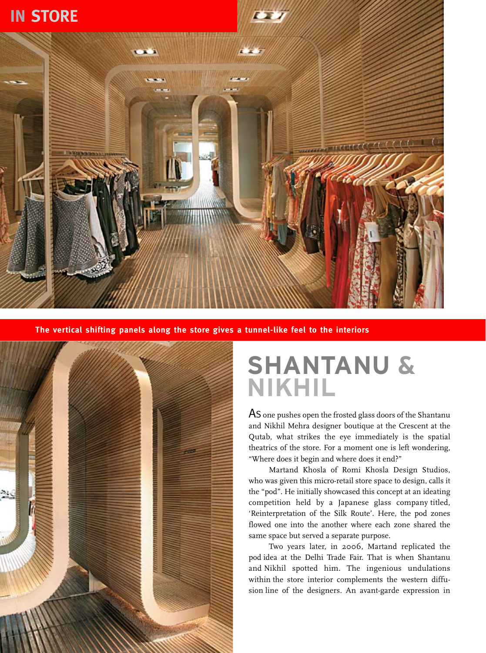## **In store**



**The vertical shifting panels along the store gives a tunnel-like feel to the interiors**



## **Shantanu & Nikhil**

AS one pushes open the frosted glass doors of the Shantanu and Nikhil Mehra designer boutique at the Crescent at the Qutab, what strikes the eye immediately is the spatial theatrics of the store. For a moment one is left wondering, "Where does it begin and where does it end?"

Martand Khosla of Romi Khosla Design Studios, who was given this micro-retail store space to design, calls it the "pod". He initially showcased this concept at an ideating competition held by a Japanese glass company titled, 'Reinterpretation of the Silk Route'. Here, the pod zones flowed one into the another where each zone shared the same space but served a separate purpose.

Two years later, in 2006, Martand replicated the pod idea at the Delhi Trade Fair. That is when Shantanu and Nikhil spotted him. The ingenious undulations within the store interior complements the western diffusion line of the designers. An avant-garde expression in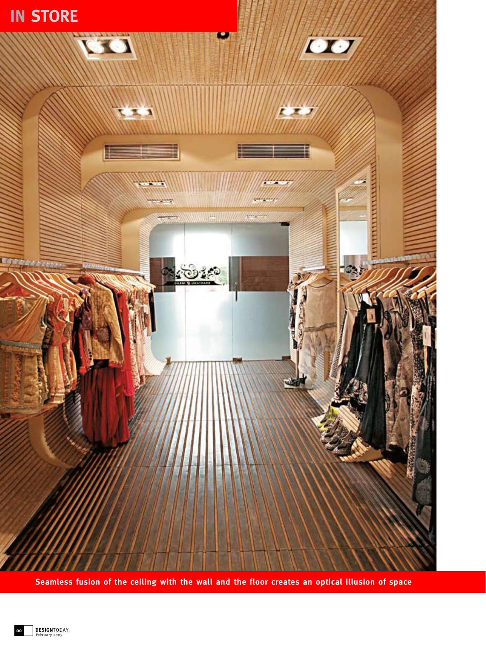

**Seamless fusion of the ceiling with the wall and the floor creates an optical illusion of space**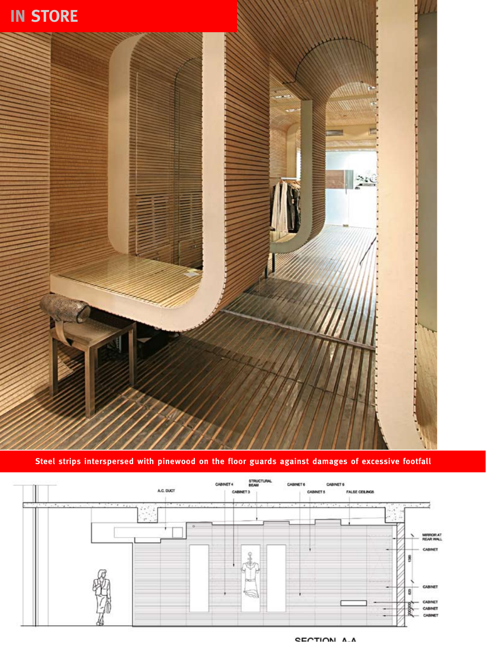

**Steel strips interspersed with pinewood on the floor guards against damages of excessive footfall**